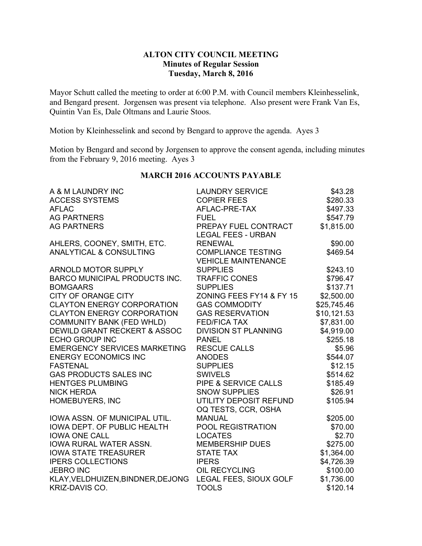# **ALTON CITY COUNCIL MEETING Minutes of Regular Session Tuesday, March 8, 2016**

Mayor Schutt called the meeting to order at 6:00 P.M. with Council members Kleinhesselink, and Bengard present. Jorgensen was present via telephone. Also present were Frank Van Es, Quintin Van Es, Dale Oltmans and Laurie Stoos.

Motion by Kleinhesselink and second by Bengard to approve the agenda. Ayes 3

Motion by Bengard and second by Jorgensen to approve the consent agenda, including minutes from the February 9, 2016 meeting. Ayes 3

| A & M LAUNDRY INC                    | <b>LAUNDRY SERVICE</b>     | \$43.28     |
|--------------------------------------|----------------------------|-------------|
| <b>ACCESS SYSTEMS</b>                | <b>COPIER FEES</b>         | \$280.33    |
| <b>AFLAC</b>                         | AFLAC-PRE-TAX              | \$497.33    |
| <b>AG PARTNERS</b>                   | <b>FUEL</b>                | \$547.79    |
| <b>AG PARTNERS</b>                   | PREPAY FUEL CONTRACT       | \$1,815.00  |
|                                      | <b>LEGAL FEES - URBAN</b>  |             |
| AHLERS, COONEY, SMITH, ETC.          | <b>RENEWAL</b>             | \$90.00     |
| <b>ANALYTICAL &amp; CONSULTING</b>   | <b>COMPLIANCE TESTING</b>  | \$469.54    |
|                                      | <b>VEHICLE MAINTENANCE</b> |             |
| ARNOLD MOTOR SUPPLY                  | <b>SUPPLIES</b>            | \$243.10    |
| <b>BARCO MUNICIPAL PRODUCTS INC.</b> | <b>TRAFFIC CONES</b>       | \$796.47    |
| <b>BOMGAARS</b>                      | <b>SUPPLIES</b>            | \$137.71    |
| <b>CITY OF ORANGE CITY</b>           | ZONING FEES FY14 & FY 15   | \$2,500.00  |
| <b>CLAYTON ENERGY CORPORATION</b>    | <b>GAS COMMODITY</b>       | \$25,745.46 |
| <b>CLAYTON ENERGY CORPORATION</b>    | <b>GAS RESERVATION</b>     | \$10,121.53 |
| <b>COMMUNITY BANK (FED WHLD)</b>     | <b>FED/FICA TAX</b>        | \$7,831.00  |
| DEWILD GRANT RECKERT & ASSOC         | DIVISION ST PLANNING       | \$4,919.00  |
| <b>ECHO GROUP INC</b>                | <b>PANEL</b>               | \$255.18    |
| <b>EMERGENCY SERVICES MARKETING</b>  | <b>RESCUE CALLS</b>        | \$5.96      |
| <b>ENERGY ECONOMICS INC</b>          | <b>ANODES</b>              | \$544.07    |
| <b>FASTENAL</b>                      | <b>SUPPLIES</b>            | \$12.15     |
| <b>GAS PRODUCTS SALES INC</b>        | <b>SWIVELS</b>             | \$514.62    |
| <b>HENTGES PLUMBING</b>              | PIPE & SERVICE CALLS       | \$185.49    |
| <b>NICK HERDA</b>                    | <b>SNOW SUPPLIES</b>       | \$26.91     |
| HOMEBUYERS, INC                      | UTILITY DEPOSIT REFUND     | \$105.94    |
|                                      | OQ TESTS, CCR, OSHA        |             |
| IOWA ASSN. OF MUNICIPAL UTIL.        | <b>MANUAL</b>              | \$205.00    |
| IOWA DEPT. OF PUBLIC HEALTH          | POOL REGISTRATION          | \$70.00     |
| <b>IOWA ONE CALL</b>                 | <b>LOCATES</b>             | \$2.70      |
| IOWA RURAL WATER ASSN.               | <b>MEMBERSHIP DUES</b>     | \$275.00    |
| <b>IOWA STATE TREASURER</b>          | <b>STATE TAX</b>           | \$1,364.00  |
| <b>IPERS COLLECTIONS</b>             | <b>IPERS</b>               | \$4,726.39  |
| <b>JEBRO INC</b>                     | OIL RECYCLING              | \$100.00    |
| KLAY, VELDHUIZEN, BINDNER, DEJONG    | LEGAL FEES, SIOUX GOLF     | \$1,736.00  |
| KRIZ-DAVIS CO.                       | <b>TOOLS</b>               | \$120.14    |

# **MARCH 2016 ACCOUNTS PAYABLE**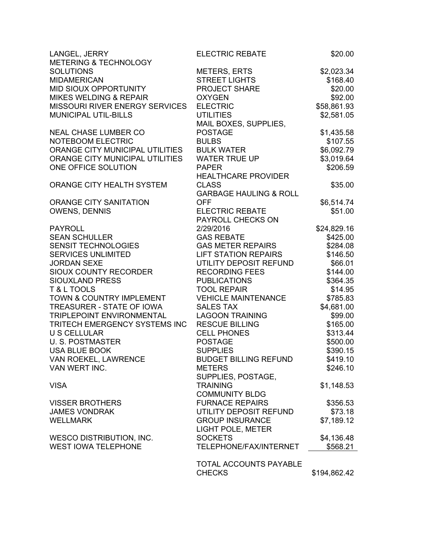| LANGEL, JERRY                     | <b>ELECTRIC REBATE</b>            | \$20.00      |
|-----------------------------------|-----------------------------------|--------------|
| <b>METERING &amp; TECHNOLOGY</b>  |                                   |              |
| <b>SOLUTIONS</b>                  | METERS, ERTS                      | \$2,023.34   |
| <b>MIDAMERICAN</b>                | <b>STREET LIGHTS</b>              | \$168.40     |
| MID SIOUX OPPORTUNITY             | <b>PROJECT SHARE</b>              | \$20.00      |
| <b>MIKES WELDING &amp; REPAIR</b> | <b>OXYGEN</b>                     | \$92.00      |
| MISSOURI RIVER ENERGY SERVICES    | <b>ELECTRIC</b>                   | \$58,861.93  |
| <b>MUNICIPAL UTIL-BILLS</b>       | <b>UTILITIES</b>                  | \$2,581.05   |
|                                   | MAIL BOXES, SUPPLIES,             |              |
| <b>NEAL CHASE LUMBER CO</b>       | <b>POSTAGE</b>                    | \$1,435.58   |
| NOTEBOOM ELECTRIC                 | <b>BULBS</b>                      | \$107.55     |
| ORANGE CITY MUNICIPAL UTILITIES   | <b>BULK WATER</b>                 | \$6,092.79   |
| ORANGE CITY MUNICIPAL UTILITIES   | <b>WATER TRUE UP</b>              | \$3,019.64   |
| ONE OFFICE SOLUTION               | <b>PAPER</b>                      | \$206.59     |
|                                   | <b>HEALTHCARE PROVIDER</b>        |              |
| ORANGE CITY HEALTH SYSTEM         | <b>CLASS</b>                      | \$35.00      |
|                                   | <b>GARBAGE HAULING &amp; ROLL</b> |              |
| <b>ORANGE CITY SANITATION</b>     | <b>OFF</b>                        | \$6,514.74   |
| <b>OWENS, DENNIS</b>              | <b>ELECTRIC REBATE</b>            | \$51.00      |
|                                   | PAYROLL CHECKS ON                 |              |
| <b>PAYROLL</b>                    | 2/29/2016                         | \$24,829.16  |
| <b>SEAN SCHULLER</b>              | <b>GAS REBATE</b>                 | \$425.00     |
| SENSIT TECHNOLOGIES               | <b>GAS METER REPAIRS</b>          | \$284.08     |
| <b>SERVICES UNLIMITED</b>         | <b>LIFT STATION REPAIRS</b>       | \$146.50     |
| <b>JORDAN SEXE</b>                | UTILITY DEPOSIT REFUND            | \$66.01      |
| SIOUX COUNTY RECORDER             | <b>RECORDING FEES</b>             | \$144.00     |
| <b>SIOUXLAND PRESS</b>            | <b>PUBLICATIONS</b>               | \$364.35     |
| T & L TOOLS                       | <b>TOOL REPAIR</b>                | \$14.95      |
| TOWN & COUNTRY IMPLEMENT          | <b>VEHICLE MAINTENANCE</b>        | \$785.83     |
| TREASURER - STATE OF IOWA         | <b>SALES TAX</b>                  | \$4,681.00   |
| TRIPLEPOINT ENVIRONMENTAL         | <b>LAGOON TRAINING</b>            | \$99.00      |
| TRITECH EMERGENCY SYSTEMS INC     | <b>RESCUE BILLING</b>             | \$165.00     |
| <b>U S CELLULAR</b>               | <b>CELL PHONES</b>                | \$313.44     |
| <b>U. S. POSTMASTER</b>           | <b>POSTAGE</b>                    | \$500.00     |
| <b>USA BLUE BOOK</b>              | <b>SUPPLIES</b>                   | \$390.15     |
| VAN ROEKEL, LAWRENCE              | <b>BUDGET BILLING REFUND</b>      | \$419.10     |
| VAN WERT INC.                     | <b>METERS</b>                     | \$246.10     |
|                                   | SUPPLIES, POSTAGE,                |              |
| <b>VISA</b>                       | <b>TRAINING</b>                   | \$1,148.53   |
|                                   | <b>COMMUNITY BLDG</b>             |              |
| <b>VISSER BROTHERS</b>            | <b>FURNACE REPAIRS</b>            | \$356.53     |
| <b>JAMES VONDRAK</b>              | UTILITY DEPOSIT REFUND            | \$73.18      |
| <b>WELLMARK</b>                   | <b>GROUP INSURANCE</b>            | \$7,189.12   |
|                                   | LIGHT POLE, METER                 |              |
| <b>WESCO DISTRIBUTION, INC.</b>   | <b>SOCKETS</b>                    | \$4,136.48   |
| <b>WEST IOWA TELEPHONE</b>        | TELEPHONE/FAX/INTERNET            | \$568.21     |
|                                   |                                   |              |
|                                   | <b>TOTAL ACCOUNTS PAYABLE</b>     |              |
|                                   | <b>CHECKS</b>                     | \$194,862.42 |
|                                   |                                   |              |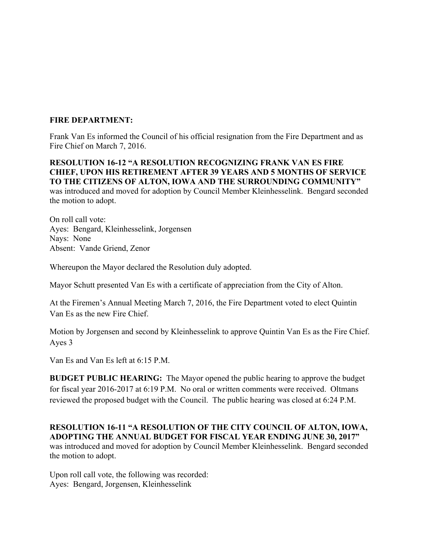# **FIRE DEPARTMENT:**

Frank Van Es informed the Council of his official resignation from the Fire Department and as Fire Chief on March 7, 2016.

# **RESOLUTION 16-12 "A RESOLUTION RECOGNIZING FRANK VAN ES FIRE CHIEF, UPON HIS RETIREMENT AFTER 39 YEARS AND 5 MONTHS OF SERVICE TO THE CITIZENS OF ALTON, IOWA AND THE SURROUNDING COMMUNITY"**

was introduced and moved for adoption by Council Member Kleinhesselink. Bengard seconded the motion to adopt.

On roll call vote: Ayes: Bengard, Kleinhesselink, Jorgensen Nays: None Absent: Vande Griend, Zenor

Whereupon the Mayor declared the Resolution duly adopted.

Mayor Schutt presented Van Es with a certificate of appreciation from the City of Alton.

At the Firemen's Annual Meeting March 7, 2016, the Fire Department voted to elect Quintin Van Es as the new Fire Chief.

Motion by Jorgensen and second by Kleinhesselink to approve Quintin Van Es as the Fire Chief. Ayes 3

Van Es and Van Es left at 6:15 P.M.

**BUDGET PUBLIC HEARING:** The Mayor opened the public hearing to approve the budget for fiscal year 2016-2017 at 6:19 P.M. No oral or written comments were received. Oltmans reviewed the proposed budget with the Council. The public hearing was closed at 6:24 P.M.

**RESOLUTION 16-11 "A RESOLUTION OF THE CITY COUNCIL OF ALTON, IOWA, ADOPTING THE ANNUAL BUDGET FOR FISCAL YEAR ENDING JUNE 30, 2017"**  was introduced and moved for adoption by Council Member Kleinhesselink. Bengard seconded the motion to adopt.

Upon roll call vote, the following was recorded: Ayes: Bengard, Jorgensen, Kleinhesselink